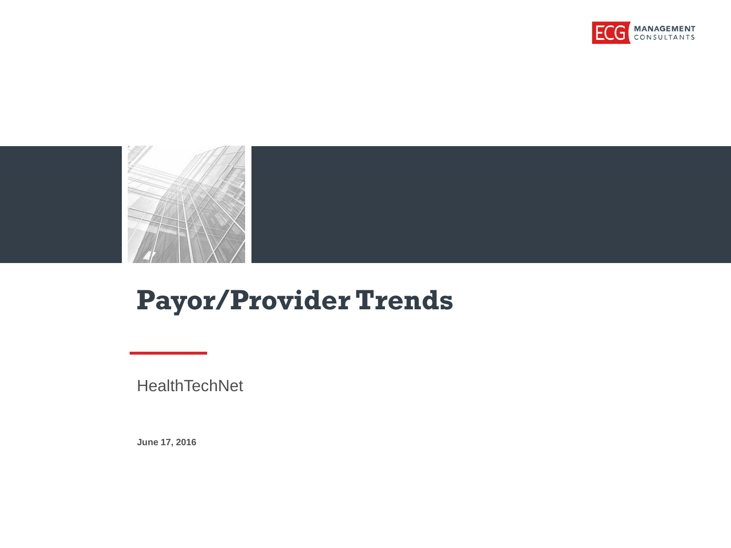



### **Payor/Provider Trends**

**HealthTechNet** 

**June 17, 2016**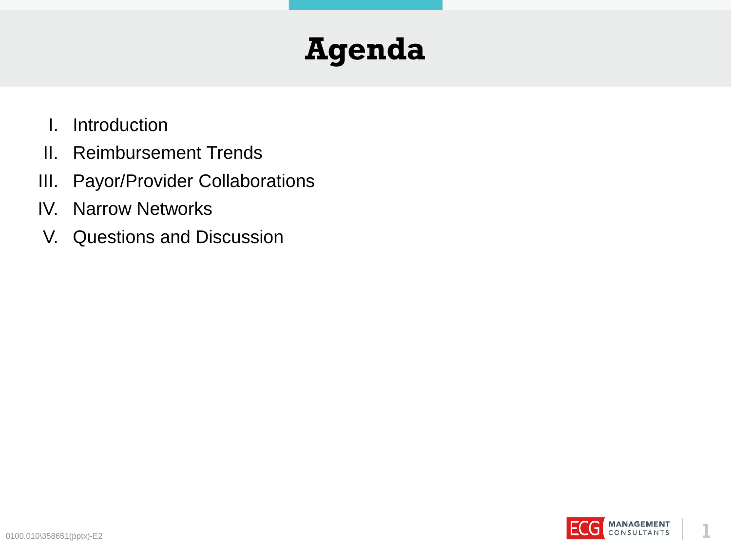## **Agenda**

- I. Introduction
- II. Reimbursement Trends
- III. Payor/Provider Collaborations
- IV. Narrow Networks
- V. Questions and Discussion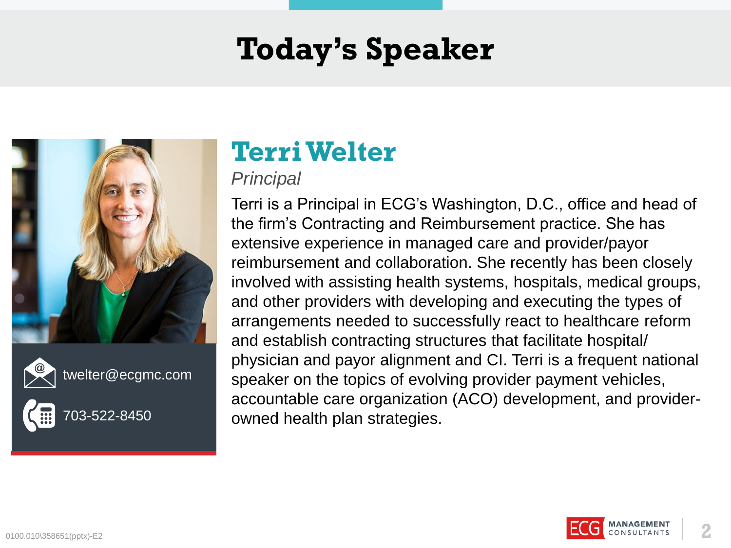## **Today's Speaker**





twelter@ecgmc.com



03-522-8450

### **Terri Welter**

### *Principal*

Terri is a Principal in ECG's Washington, D.C., office and head of the firm's Contracting and Reimbursement practice. She has extensive experience in managed care and provider/payor reimbursement and collaboration. She recently has been closely involved with assisting health systems, hospitals, medical groups, and other providers with developing and executing the types of arrangements needed to successfully react to healthcare reform and establish contracting structures that facilitate hospital/ physician and payor alignment and CI. Terri is a frequent national speaker on the topics of evolving provider payment vehicles, accountable care organization (ACO) development, and providerowned health plan strategies.

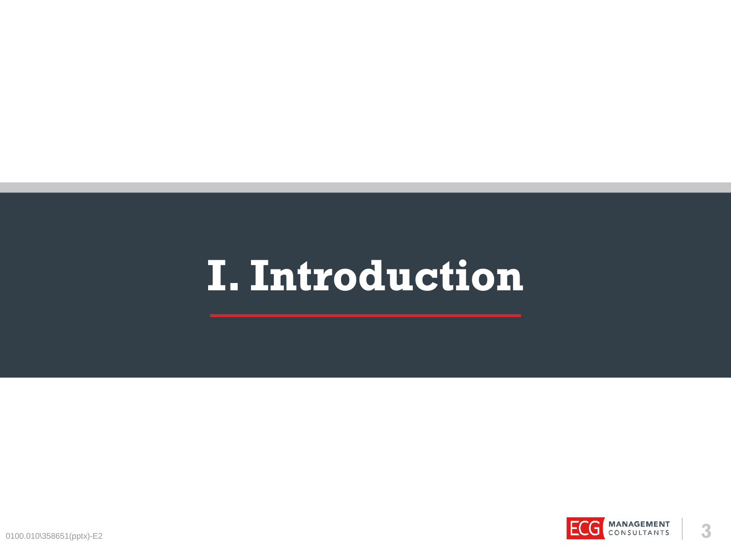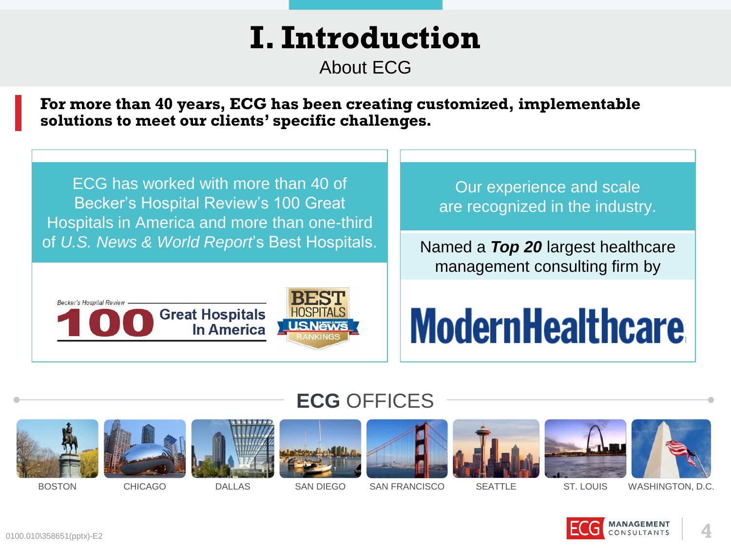About ECG

**For more than 40 years, ECG has been creating customized, implementable solutions to meet our clients' specific challenges.**

ECG has worked with more than 40 of Becker's Hospital Review's 100 Great Hospitals in America and more than one-third of *U.S. News & World Report*'s Best Hospitals.



Our experience and scale are recognized in the industry.

Named a *Top 20* largest healthcare management consulting firm by

# **ModernHealthcare**

### **ECG** OFFICES

















BOSTON CHICAGO DALLAS SAN DIEGO SAN FRANCISCO SEATTLE ST. LOUIS WASHINGTON, D.C.



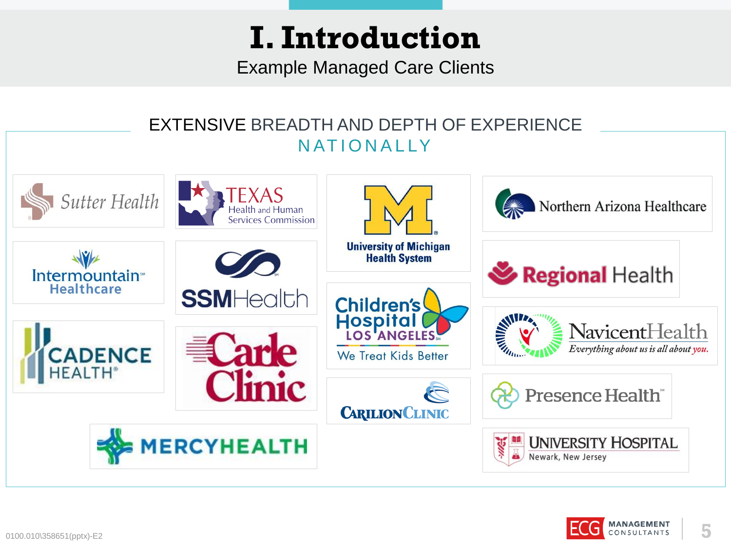Example Managed Care Clients

#### EXTENSIVE BREADTH AND DEPTH OF EXPERIENCE N AT IONALLY **TEXAS** Sutter Health Northern Arizona Healthcare Health and Human **Services Commission University of Michigan Health System** Regional Health Intermountain<sup>®</sup> **Healthcare SSMHealth Children's** Hospital **MARITAGE NavicentHealth CADENCE** Everything about us is all about you. We Treat Kids Better nic Presence Health<sup>®</sup> **CARILION CLINIC MERCYHEALTH UNIVERSITY HOSPITAL** Newark, New Jersey

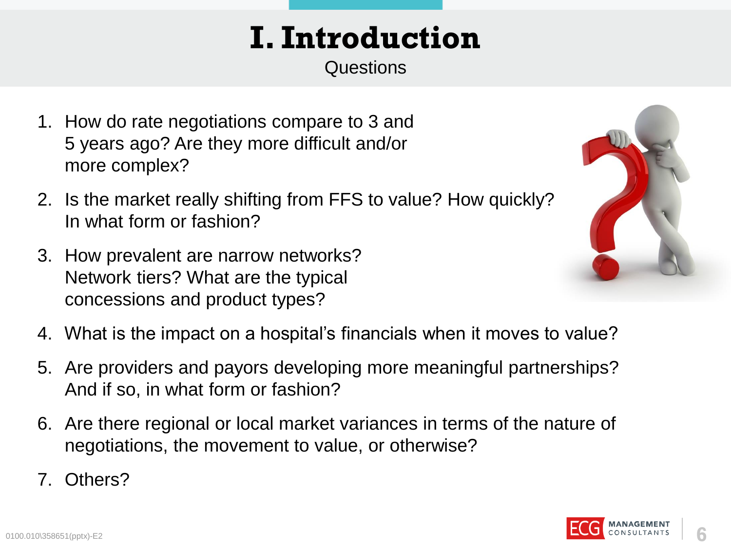**Questions** 

- 1. How do rate negotiations compare to 3 and 5 years ago? Are they more difficult and/or more complex?
- 2. Is the market really shifting from FFS to value? How quickly[?](http://www.google.com/url?sa=i&rct=j&q=&esrc=s&source=images&cd=&cad=rja&uact=8&ved=0ahUKEwiRj4-V7-vLAhVV-mMKHbDrAPEQjRwIBw&url=http://sallina.com/?m%3D20151203&bvm=bv.118443451,d.cGc&psig=AFQjCNH5ikZRPtFusDFXIOhile6g8TS5ZA&ust=1459546118720288) In what form or fashion?
- 3. How prevalent are narrow networks? Network tiers? What are the typical concessions and product types?



- 4. What is the impact on a hospital's financials when it moves to value?
- 5. Are providers and payors developing more meaningful partnerships? And if so, in what form or fashion?
- 6. Are there regional or local market variances in terms of the nature of negotiations, the movement to value, or otherwise?
- 7. Others?



**6**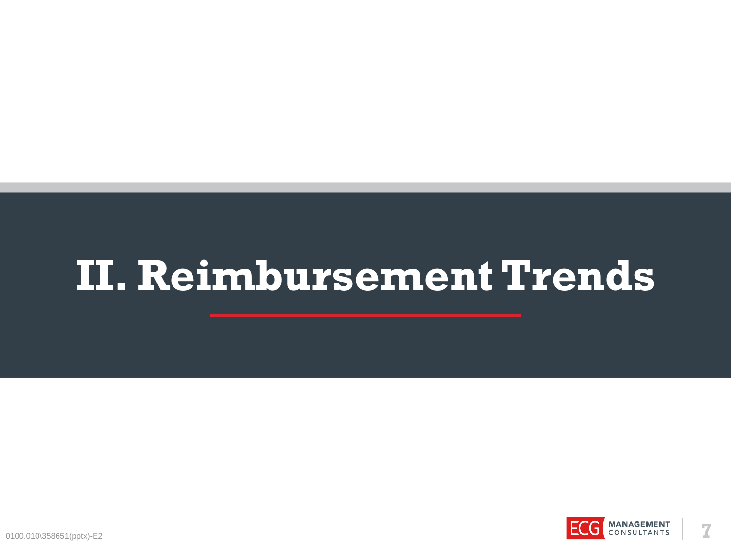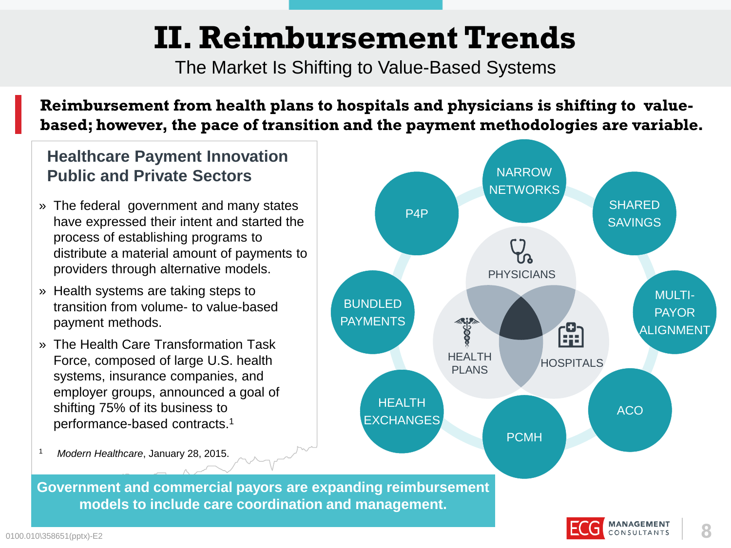The Market Is Shifting to Value-Based Systems

**Reimbursement from health plans to hospitals and physicians is shifting to valuebased; however, the pace of transition and the payment methodologies are variable.**

### **Healthcare Payment Innovation Public and Private Sectors**

- » The federal government and many states have expressed their intent and started the process of establishing programs to distribute a material amount of payments to providers through alternative models.
- » Health systems are taking steps to transition from volume- to value-based payment methods.
- » The Health Care Transformation Task Force, composed of large U.S. health systems, insurance companies, and employer groups, announced a goal of shifting 75% of its business to performance-based contracts.<sup>1</sup>



<sup>1</sup>*Modern Healthcare*, January 28, 2015.

**Government and commercial payors are expanding reimbursement models to include care coordination and management.**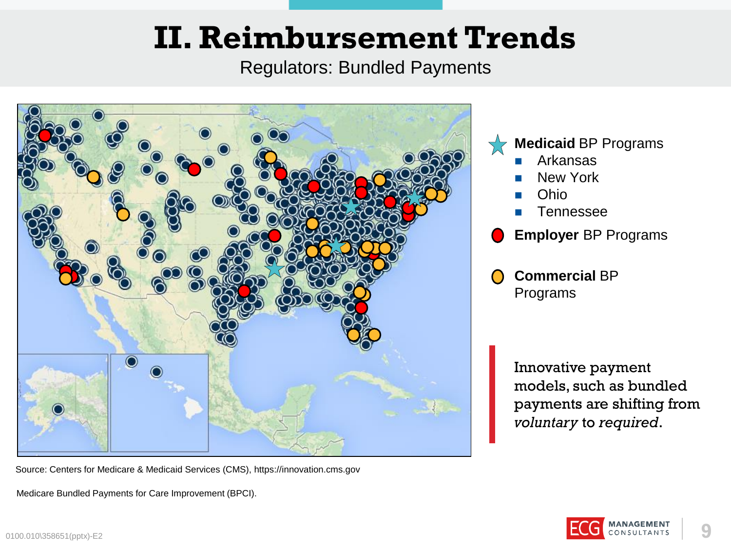Regulators: Bundled Payments



Source: Centers for Medicare & Medicaid Services (CMS), https://innovation.cms.gov

Medicare Bundled Payments for Care Improvement (BPCI).

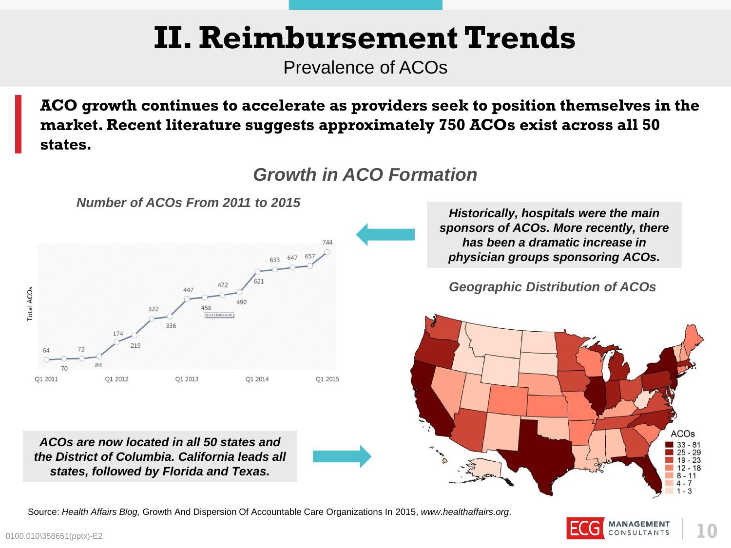Prevalence of ACOs

**ACO growth continues to accelerate as providers seek to position themselves in the market. Recent literature suggests approximately 750 ACOs exist across all 50 states.**

*Growth in ACO Formation*



*ACOs are now located in all 50 states and the District of Columbia. California leads all states, followed by Florida and Texas.* 

*Historically, hospitals were the main sponsors of ACOs. More recently, there has been a dramatic increase in physician groups sponsoring ACOs.*

*Geographic Distribution of ACOs*



Source: *Health Affairs Blog,* Growth And Dispersion Of Accountable Care Organizations In 2015, *www.healthaffairs.org*.

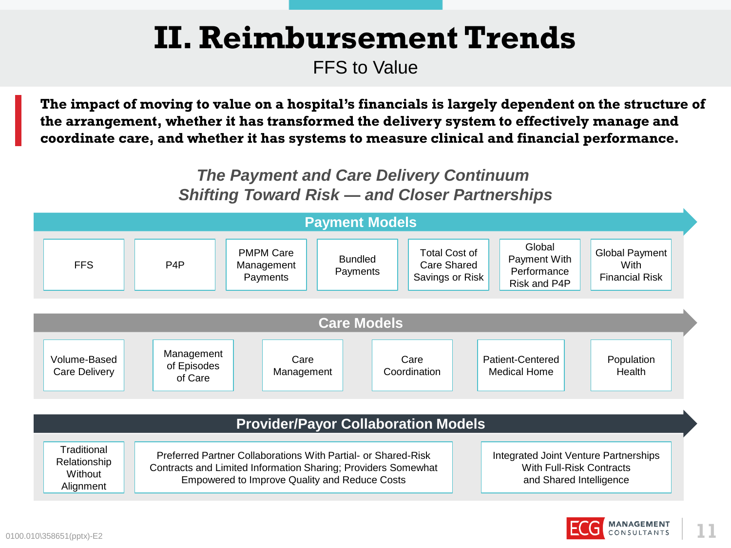FFS to Value

**The impact of moving to value on a hospital's financials is largely dependent on the structure of the arrangement, whether it has transformed the delivery system to effectively manage and coordinate care, and whether it has systems to measure clinical and financial performance.**

### *The Payment and Care Delivery Continuum Shifting Toward Risk — and Closer Partnerships*



#### **Provider/Payor Collaboration Models**

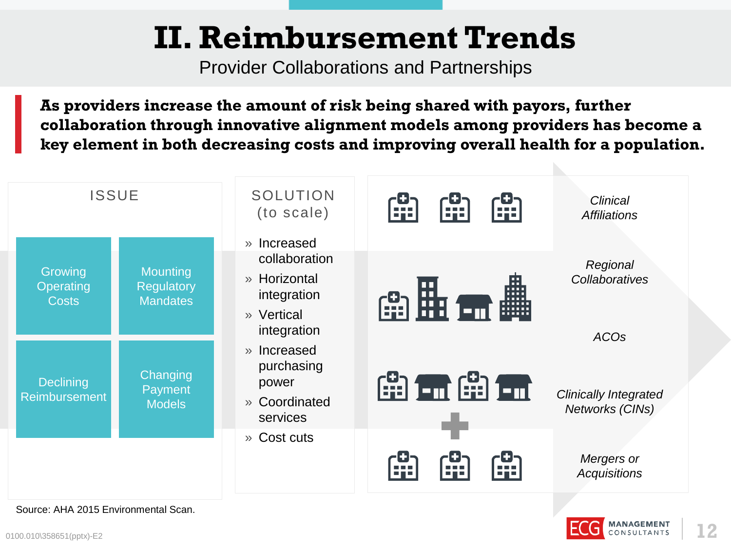Provider Collaborations and Partnerships

**As providers increase the amount of risk being shared with payors, further collaboration through innovative alignment models among providers has become a key element in both decreasing costs and improving overall health for a population.**



Source: AHA 2015 Environmental Scan.

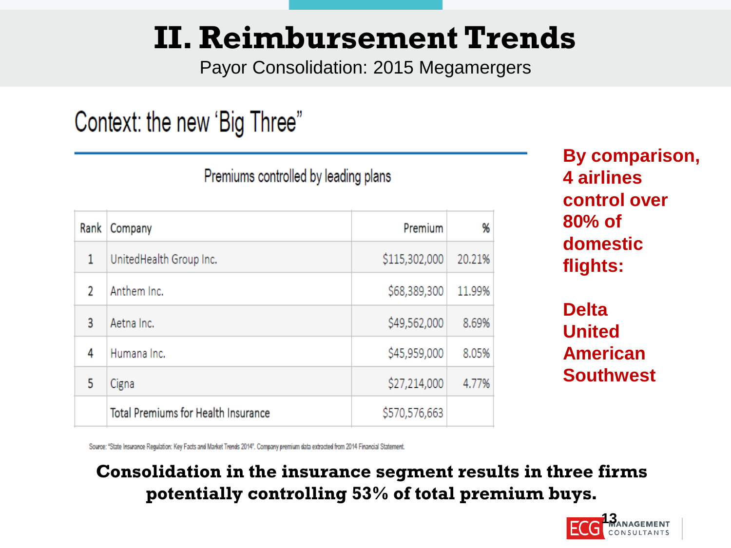Payor Consolidation: 2015 Megamergers

### Context: the new 'Big Three"

Rank | Company Premium %  $\mathbf{1}$ UnitedHealth Group Inc. \$115,302,000 20.21% Anthem Inc. \$68,389,300 11.99%  $\mathfrak{p}$ \$49,562,000 Aetna Inc. 8.69% 3 \$45,959,000 Humana Inc. 8.05% 4 \$27,214,000 4.77% 5 Cigna **Total Premiums for Health Insurance** \$570,576,663

Premiums controlled by leading plans

**By comparison, 4 airlines control over 80% of domestic flights:**

**Delta United American Southwest**

Source: "State Insurance Regulation: Key Facts and Market Trends 2014". Company premium data extracted from 2014 Financial Statement.

### **Consolidation in the insurance segment results in three firms potentially controlling 53% of total premium buys.**

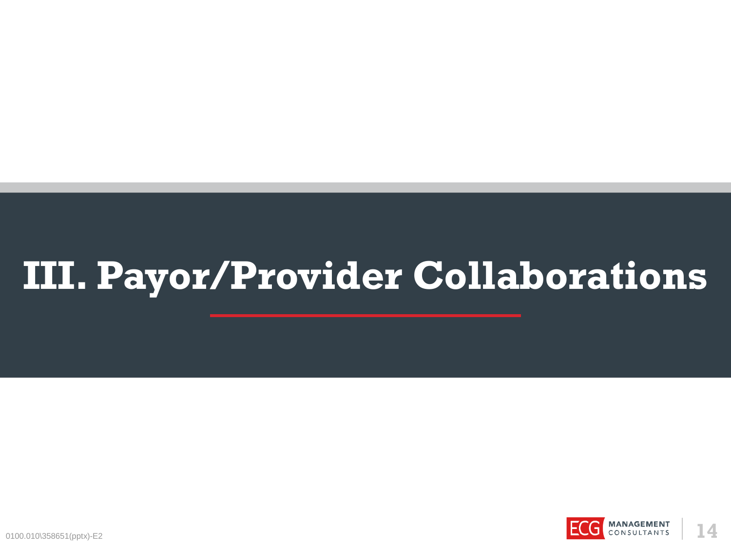# **III. Payor/Provider Collaborations**

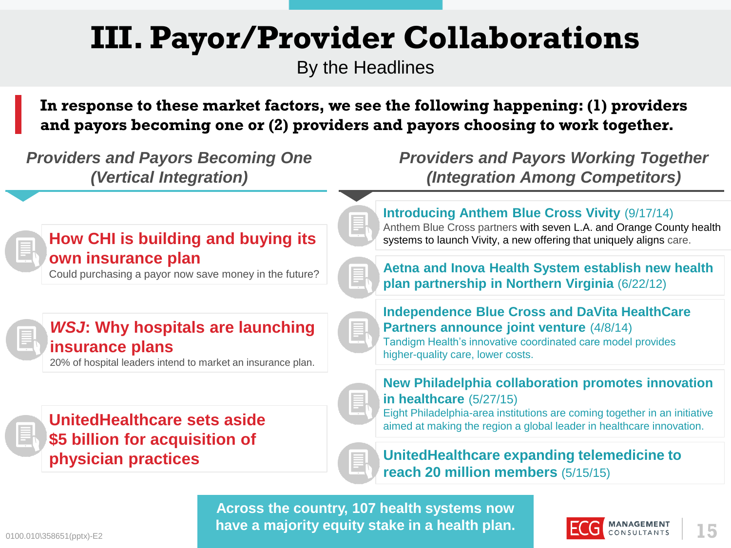## **III. Payor/Provider Collaborations**

By the Headlines

**In response to these market factors, we see the following happening: (1) providers and payors becoming one or (2) providers and payors choosing to work together.**



**have a majority equity stake in a health plan. 1999 <b>ECG** MANAGEMENT 15

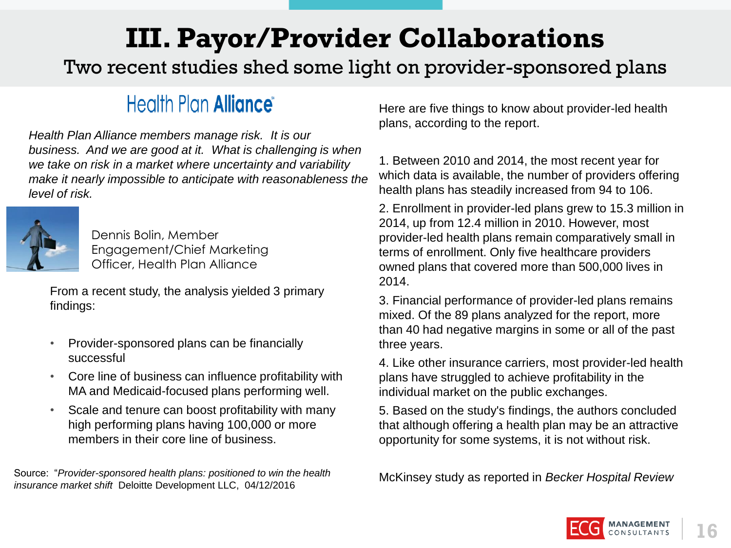### **III. Payor/Provider Collaborations**

Two recent studies shed some light on provider-sponsored plans

### Health Plan **Alliance**

*Health Plan Alliance members manage risk. It is our business. And we are good at it. What is challenging is when we take on risk in a market where uncertainty and variability make it nearly impossible to anticipate with reasonableness the level of risk.*



Dennis Bolin, Member Engagement/Chief Marketing Officer, Health Plan Alliance

From a recent study, the analysis yielded 3 primary findings:

- Provider-sponsored plans can be financially successful
- Core line of business can influence profitability with MA and Medicaid-focused plans performing well.
- Scale and tenure can boost profitability with many high performing plans having 100,000 or more members in their core line of business.

Source: "*Provider-sponsored health plans: positioned to win the health insurance market shift* Deloitte Development LLC, 04/12/2016

Here are five things to know about provider-led health plans, according to the report.

1. Between 2010 and 2014, the most recent year for which data is available, the number of providers offering health plans has steadily increased from 94 to 106.

2. Enrollment in provider-led plans grew to 15.3 million in 2014, up from 12.4 million in 2010. However, most provider-led health plans remain comparatively small in terms of enrollment. Only five healthcare providers owned plans that covered more than 500,000 lives in 2014.

3. Financial performance of provider-led plans remains mixed. Of the 89 plans analyzed for the report, more than 40 had negative margins in some or all of the past three years.

4. Like other insurance carriers, most provider-led health plans have struggled to achieve profitability in the individual market on the public exchanges.

5. Based on the study's findings, the authors concluded that although offering a health plan may be an attractive opportunity for some systems, it is not without risk.

McKinsey study as reported in *Becker Hospital Review*

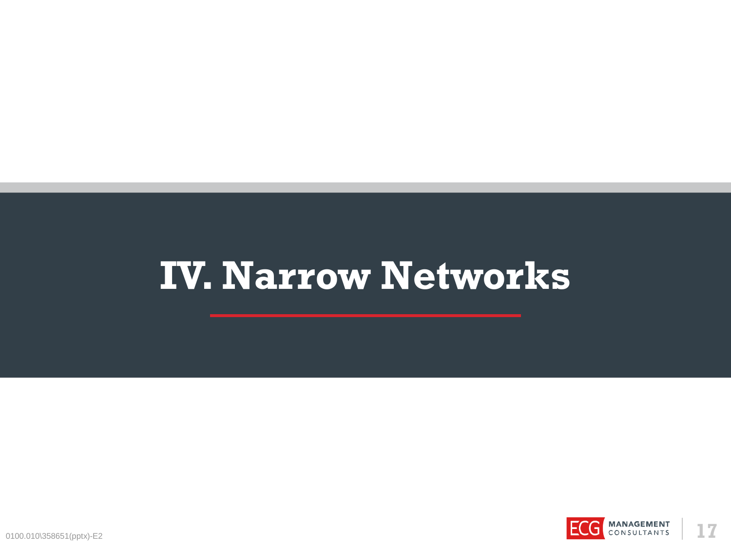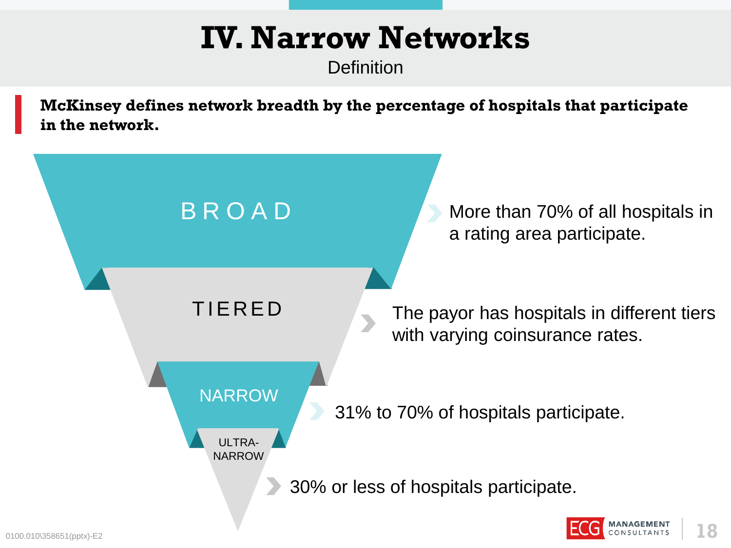**Definition** 

**McKinsey defines network breadth by the percentage of hospitals that participate in the network.**

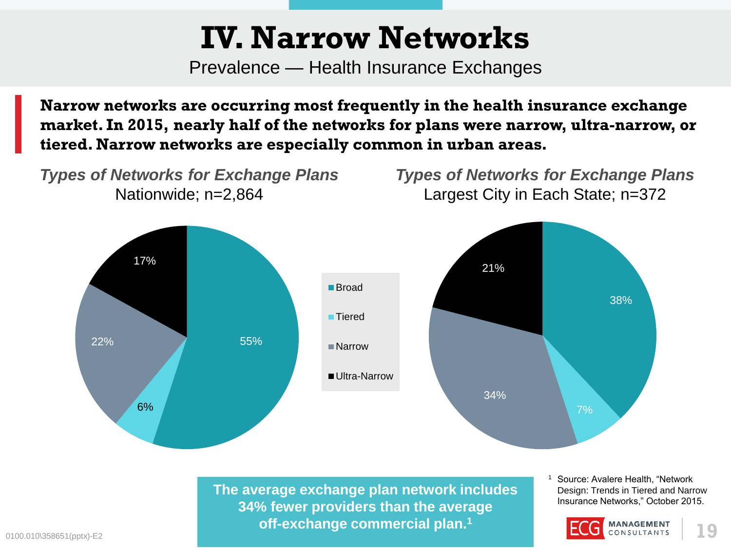Prevalence — Health Insurance Exchanges

**Narrow networks are occurring most frequently in the health insurance exchange market. In 2015, nearly half of the networks for plans were narrow, ultra-narrow, or tiered. Narrow networks are especially common in urban areas.**



0100.010\358651(pptx)-E2 **19 off-exchange commercial plan.<sup>1</sup> The average exchange plan network includes 34% fewer providers than the average**

Source: Avalere Health, "Network Design: Trends in Tiered and Narrow Insurance Networks," October 2015.

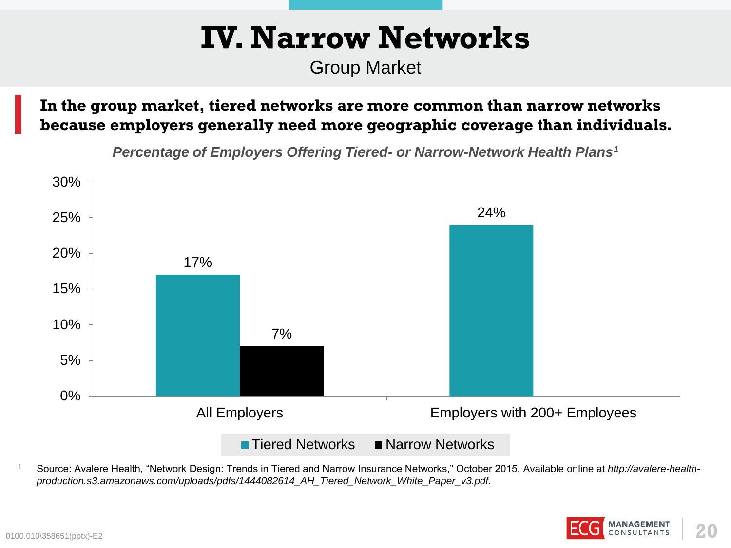Group Market

**In the group market, tiered networks are more common than narrow networks because employers generally need more geographic coverage than individuals.**

*Percentage of Employers Offering Tiered- or Narrow-Network Health Plans<sup>1</sup>*



<sup>1</sup> Source: Avalere Health, "Network Design: Trends in Tiered and Narrow Insurance Networks," October 2015. Available online at *http://avalere-healthproduction.s3.amazonaws.com/uploads/pdfs/1444082614\_AH\_Tiered\_Network\_White\_Paper\_v3.pdf.*

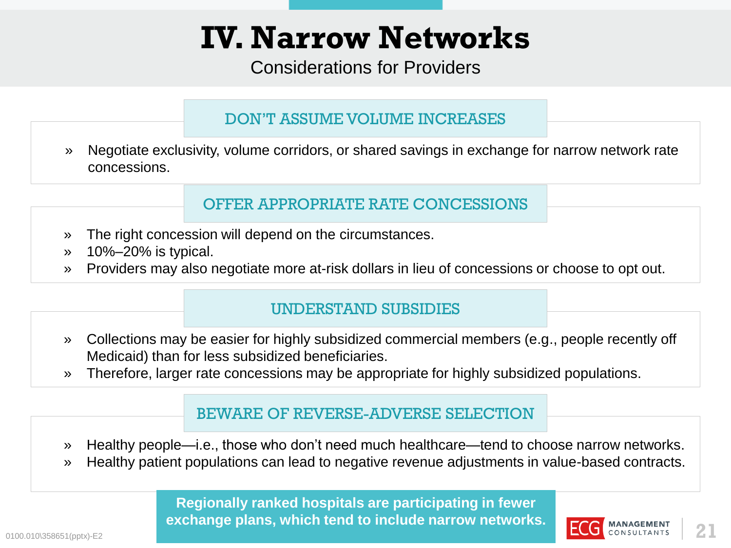Considerations for Providers

### DON'T ASSUME VOLUME INCREASES

» Negotiate exclusivity, volume corridors, or shared savings in exchange for narrow network rate concessions.

### OFFER APPROPRIATE RATE CONCESSIONS

- » The right concession will depend on the circumstances.
- » 10%–20% is typical.
- » Providers may also negotiate more at-risk dollars in lieu of concessions or choose to opt out.

#### UNDERSTAND SUBSIDIES

- » Collections may be easier for highly subsidized commercial members (e.g., people recently off Medicaid) than for less subsidized beneficiaries.
- » Therefore, larger rate concessions may be appropriate for highly subsidized populations.

#### BEWARE OF REVERSE-ADVERSE SELECTION

- » Healthy people—i.e., those who don't need much healthcare—tend to choose narrow networks.
- » Healthy patient populations can lead to negative revenue adjustments in value-based contracts.

0100.010\358651(pptx)-E2 **21 Regionally ranked hospitals are participating in fewer exchange plans, which tend to include narrow networks.**

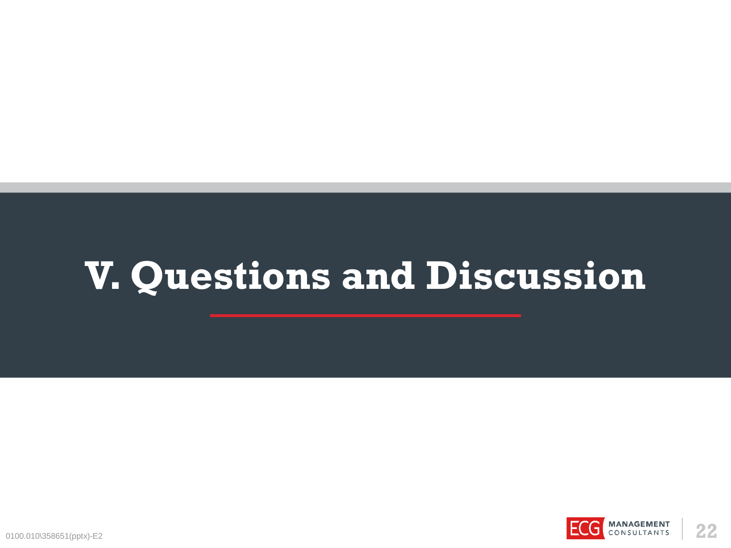# **V. Questions and Discussion**

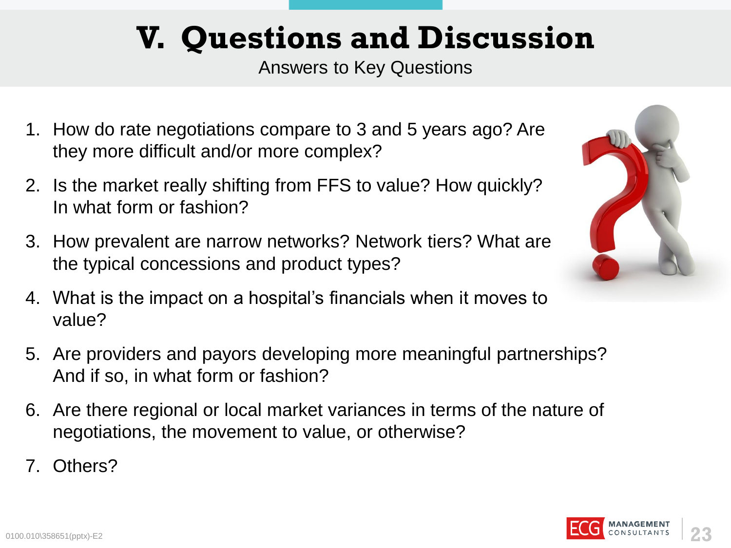## **V. Questions and Discussion**

Answers to Key Questions

- 1. How do rate negotiations compare to 3 and 5 years ago? Are they more difficult and/or more complex?
- 2. Is the market really shifting from FFS to value? How quickly? In what form or fashion?
- 3. How prevalent are narrow networks? Network tiers? What are the typical concessions and product types?
- 4. What is the impact on a hospital's financials when it moves to value?
- 5. Are providers and payors developing more meaningful partnerships? And if so, in what form or fashion?
- 6. Are there regional or local market variances in terms of the nature of negotiations, the movement to value, or otherwise?
- 7. Others?